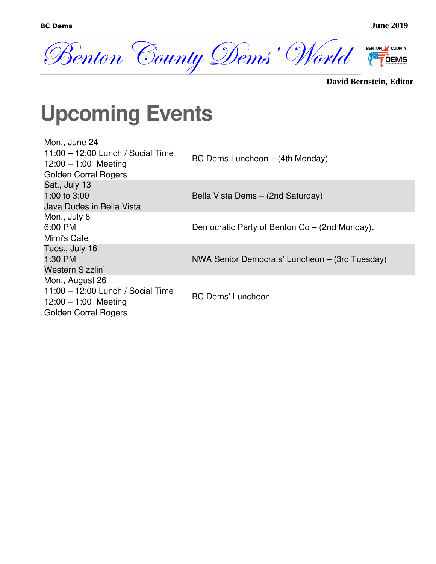

|  | <b>David Bernstein, Editor</b> |  |
|--|--------------------------------|--|
|--|--------------------------------|--|

### **Upcoming Events**

| Mon., June 24                     |                                                |
|-----------------------------------|------------------------------------------------|
| 11:00 - 12:00 Lunch / Social Time | BC Dems Luncheon - (4th Monday)                |
| $12:00 - 1:00$ Meeting            |                                                |
| <b>Golden Corral Rogers</b>       |                                                |
| Sat., July 13                     |                                                |
| 1:00 to $3:00$                    | Bella Vista Dems - (2nd Saturday)              |
| Java Dudes in Bella Vista         |                                                |
| Mon., July 8                      |                                                |
| 6:00 PM                           | Democratic Party of Benton Co – (2nd Monday).  |
| Mimi's Cafe                       |                                                |
| Tues., July 16                    |                                                |
| 1:30 PM                           | NWA Senior Democrats' Luncheon – (3rd Tuesday) |
| Western Sizzlin'                  |                                                |
| Mon., August 26                   |                                                |
| 11:00 - 12:00 Lunch / Social Time |                                                |
| $12:00 - 1:00$ Meeting            | <b>BC Dems' Luncheon</b>                       |
| <b>Golden Corral Rogers</b>       |                                                |
|                                   |                                                |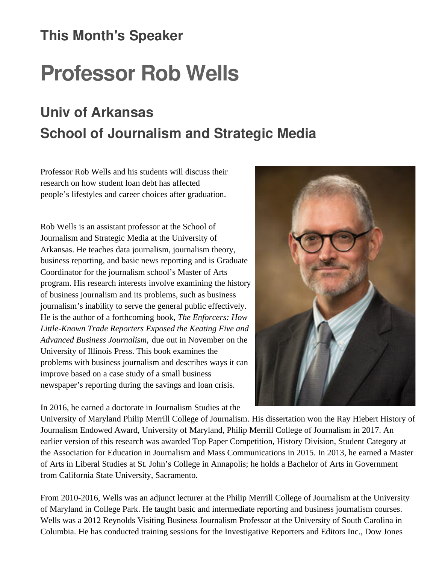#### **This Month's Speaker**

## **Professor Rob Wells**

#### **Univ of Arkansas School of Journalism and Strategic Media**

Professor Rob Wells and his students will discuss their research on how student loan debt has affected people's lifestyles and career choices after graduation.

Rob Wells is an assistant professor at the School of Journalism and Strategic Media at the University of Arkansas. He teaches data journalism, journalism theory, business reporting, and basic news reporting and is Graduate Coordinator for the journalism school's Master of Arts program. His research interests involve examining the history of business journalism and its problems, such as business journalism's inability to serve the general public effectively. He is the author of a forthcoming book, *The Enforcers: How Little-Known Trade Reporters Exposed the Keating Five and Advanced Business Journalism,* due out in November on the University of Illinois Press. This book examines the problems with business journalism and describes ways it can improve based on a case study of a small business newspaper's reporting during the savings and loan crisis.

In 2016, he earned a doctorate in Journalism Studies at the

University of Maryland Philip Merrill College of Journalism. His dissertation won the Ray Hiebert History of Journalism Endowed Award, University of Maryland, Philip Merrill College of Journalism in 2017. An earlier version of this research was awarded Top Paper Competition, History Division, Student Category at the Association for Education in Journalism and Mass Communications in 2015. In 2013, he earned a Master of Arts in Liberal Studies at St. John's College in Annapolis; he holds a Bachelor of Arts in Government from California State University, Sacramento.

From 2010-2016, Wells was an adjunct lecturer at the Philip Merrill College of Journalism at the University of Maryland in College Park. He taught basic and intermediate reporting and business journalism courses. Wells was a 2012 Reynolds Visiting Business Journalism Professor at the University of South Carolina in Columbia. He has conducted training sessions for the Investigative Reporters and Editors Inc., Dow Jones

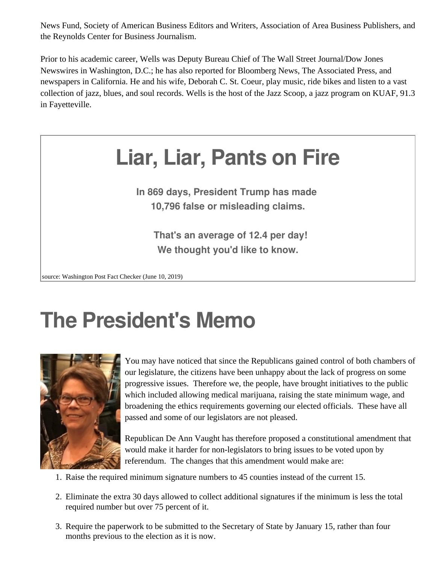News Fund, Society of American Business Editors and Writers, Association of Area Business Publishers, and the Reynolds Center for Business Journalism.

Prior to his academic career, Wells was Deputy Bureau Chief of The Wall Street Journal/Dow Jones Newswires in Washington, D.C.; he has also reported for Bloomberg News, The Associated Press, and newspapers in California. He and his wife, Deborah C. St. Coeur, play music, ride bikes and listen to a vast collection of jazz, blues, and soul records. Wells is the host of the Jazz Scoop, a jazz program on KUAF, 91.3 in Fayetteville.



**In 869 days, President Trump has made 10,796 false or misleading claims.**

**That's an average of 12.4 per day! We thought you'd like to know.**

source: Washington Post Fact Checker (June 10, 2019)

## **The President's Memo**



You may have noticed that since the Republicans gained control of both chambers of our legislature, the citizens have been unhappy about the lack of progress on some progressive issues. Therefore we, the people, have brought initiatives to the public which included allowing medical marijuana, raising the state minimum wage, and broadening the ethics requirements governing our elected officials. These have all passed and some of our legislators are not pleased.

Republican De Ann Vaught has therefore proposed a constitutional amendment that would make it harder for non-legislators to bring issues to be voted upon by referendum. The changes that this amendment would make are:

- 1. Raise the required minimum signature numbers to 45 counties instead of the current 15.
- 2. Eliminate the extra 30 days allowed to collect additional signatures if the minimum is less the total required number but over 75 percent of it.
- 3. Require the paperwork to be submitted to the Secretary of State by January 15, rather than four months previous to the election as it is now.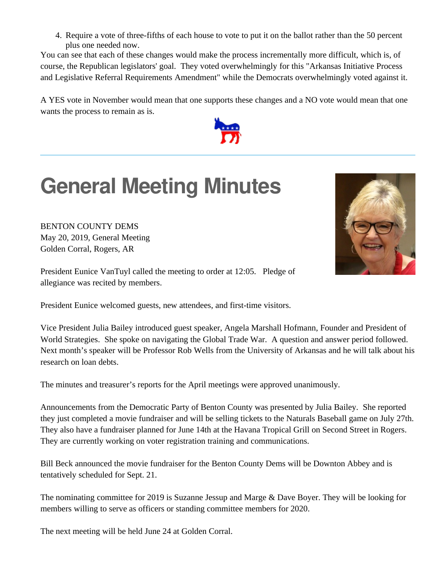4. Require a vote of three-fifths of each house to vote to put it on the ballot rather than the 50 percent plus one needed now.

You can see that each of these changes would make the process incrementally more difficult, which is, of course, the Republican legislators' goal. They voted overwhelmingly for this "Arkansas Initiative Process and Legislative Referral Requirements Amendment" while the Democrats overwhelmingly voted against it.

A YES vote in November would mean that one supports these changes and a NO vote would mean that one wants the process to remain as is.



## **General Meeting Minutes**

BENTON COUNTY DEMS May 20, 2019, General Meeting Golden Corral, Rogers, AR

President Eunice VanTuyl called the meeting to order at 12:05. Pledge of allegiance was recited by members.

President Eunice welcomed guests, new attendees, and first-time visitors.

Vice President Julia Bailey introduced guest speaker, Angela Marshall Hofmann, Founder and President of World Strategies. She spoke on navigating the Global Trade War. A question and answer period followed. Next month's speaker will be Professor Rob Wells from the University of Arkansas and he will talk about his research on loan debts.

The minutes and treasurer's reports for the April meetings were approved unanimously.

Announcements from the Democratic Party of Benton County was presented by Julia Bailey. She reported they just completed a movie fundraiser and will be selling tickets to the Naturals Baseball game on July 27th. They also have a fundraiser planned for June 14th at the Havana Tropical Grill on Second Street in Rogers. They are currently working on voter registration training and communications.

Bill Beck announced the movie fundraiser for the Benton County Dems will be Downton Abbey and is tentatively scheduled for Sept. 21.

The nominating committee for 2019 is Suzanne Jessup and Marge & Dave Boyer. They will be looking for members willing to serve as officers or standing committee members for 2020.

The next meeting will be held June 24 at Golden Corral.